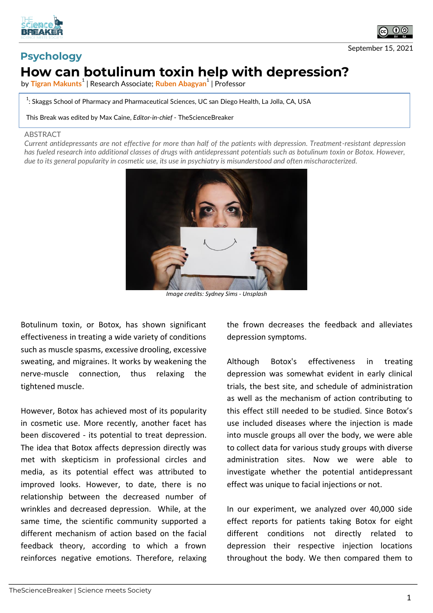



## **Psychology How can botulinum toxin help with depression?**

by **Tigran Makunts<sup>1</sup>** | Research Associate; **Ruben Abagyan<sup>1</sup>** | Professor

 $^{\rm 1}$ : Skaggs School of Pharmacy and Pharmaceutical Sciences, UC san Diego Health, La Jolla, CA, USA

This Break was edited by Max Caine, *Editor-in-chief* - TheScienceBreaker

## ABSTRACT

*Current antidepressants are not effective for more than half of the patients with depression. Treatment-resistant depression has fueled research into additional classes of drugs with antidepressant potentials such as botulinum toxin or Botox. However, due to its general popularity in cosmetic use, its use in psychiatry is misunderstood and often mischaracterized.*



*Image credits: Sydney Sims - Unsplash*

Botulinum toxin, or Botox, has shown significant effectiveness in treating a wide variety of conditions such as muscle spasms, excessive drooling, excessive sweating, and migraines. It works by weakening the nerve-muscle connection, thus relaxing the tightened muscle.

However, Botox has achieved most of its popularity in cosmetic use. More recently, another facet has been discovered - its potential to treat depression. The idea that Botox affects depression directly was met with skepticism in professional circles and media, as its potential effect was attributed to improved looks. However, to date, there is no relationship between the decreased number of wrinkles and decreased depression. While, at the same time, the scientific community supported a different mechanism of action based on the facial feedback theory, according to which a frown reinforces negative emotions. Therefore, relaxing

the frown decreases the feedback and alleviates depression symptoms.

Although Botox's effectiveness in treating depression was somewhat evident in early clinical trials, the best site, and schedule of administration as well as the mechanism of action contributing to this effect still needed to be studied. Since Botox's use included diseases where the injection is made into muscle groups all over the body, we were able to collect data for various study groups with diverse administration sites. Now we were able to investigate whether the potential antidepressant effect was unique to facial injections or not.

In our experiment, we analyzed over 40,000 side effect reports for patients taking Botox for eight different conditions not directly related to depression their respective injection locations throughout the body. We then compared them to